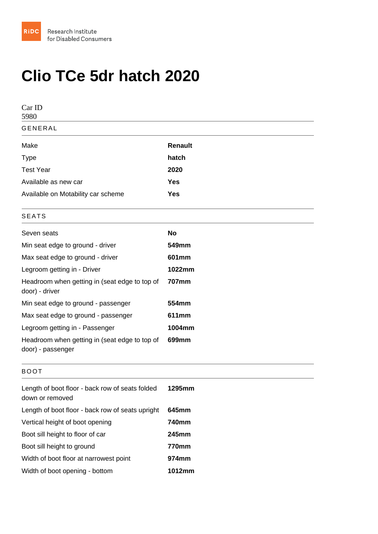## Clio TCe 5dr hatch 2020

| Car ID<br>5980                                                     |         |  |
|--------------------------------------------------------------------|---------|--|
| <b>GENERAL</b>                                                     |         |  |
| Make                                                               | Renault |  |
| <b>Type</b>                                                        | hatch   |  |
| <b>Test Year</b>                                                   | 2020    |  |
| Available as new car                                               | Yes     |  |
| Available on Motability car scheme                                 | Yes     |  |
| <b>SEATS</b>                                                       |         |  |
| Seven seats                                                        | No      |  |
| Min seat edge to ground - driver                                   | 549mm   |  |
| Max seat edge to ground - driver                                   | 601mm   |  |
| Legroom getting in - Driver                                        | 1022mm  |  |
| Headroom when getting in (seat edge to top of<br>door) - driver    | 707mm   |  |
| Min seat edge to ground - passenger                                | 554mm   |  |
| Max seat edge to ground - passenger                                | 611mm   |  |
| Legroom getting in - Passenger                                     | 1004mm  |  |
| Headroom when getting in (seat edge to top of<br>door) - passenger | 699mm   |  |
| <b>BOOT</b>                                                        |         |  |
| Length of boot floor - back row of seats folded<br>down or removed | 1295mm  |  |
| Length of boot floor - back row of seats upright                   | 645mm   |  |
| Vertical height of boot opening                                    | 740mm   |  |
| Boot sill height to floor of car                                   | 245mm   |  |
| Boot sill height to ground                                         | 770mm   |  |
| Width of boot floor at narrowest point                             | 974mm   |  |
| Width of boot opening - bottom                                     | 1012mm  |  |